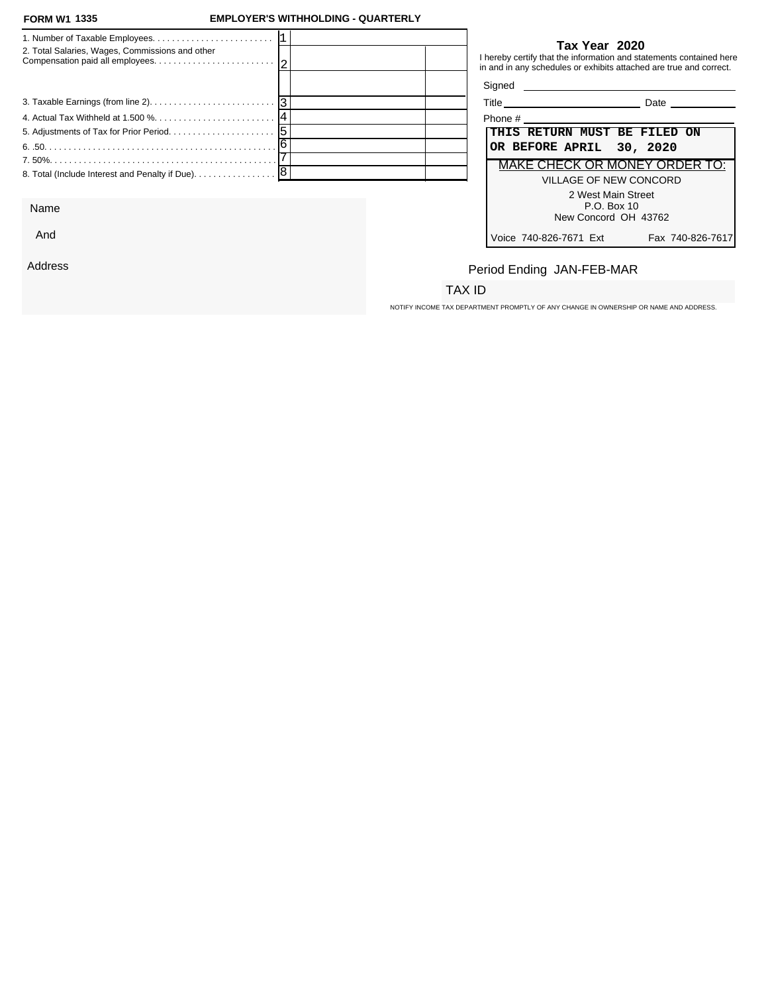#### **FORM W1 1335**

### **FORM W1 EMPLOYER'S WITHHOLDING - QUARTERLY**

| 2. Total Salaries, Wages, Commissions and other |  |         | Tax Year 2020<br>I hereby certify that the information and statements contained here<br>in and in any schedules or exhibits attached are true and correct. |
|-------------------------------------------------|--|---------|------------------------------------------------------------------------------------------------------------------------------------------------------------|
|                                                 |  |         |                                                                                                                                                            |
|                                                 |  |         | <b>Date Date</b>                                                                                                                                           |
|                                                 |  | Phone # |                                                                                                                                                            |
|                                                 |  |         | THIS RETURN MUST BE FILED ON                                                                                                                               |
|                                                 |  |         | OR BEFORE APRIL 30, 2020                                                                                                                                   |
|                                                 |  |         | MAKE CHECK OR MONEY ORDER TO:                                                                                                                              |
|                                                 |  |         | VILLAGE OF NEW CONCORD                                                                                                                                     |
|                                                 |  |         | 2 West Main Street                                                                                                                                         |

Name

And

Address

## **Tax Year 2020**

| Title                         | Date             |
|-------------------------------|------------------|
| Phone #                       |                  |
| THIS RETURN MUST BE FILED ON  |                  |
| OR BEFORE APRIL 30, 2020      |                  |
| MAKE CHECK OR MONEY ORDER TO: |                  |
| VILLAGE OF NEW CONCORD        |                  |
| 2 West Main Street            |                  |
| P.O. Box 10                   |                  |
| New Concord OH 43762          |                  |
| Voice 740-826-7671 Ext        | Fax 740-826-7617 |

# Period Ending JAN-FEB-MAR

## TAX ID

NOTIFY INCOME TAX DEPARTMENT PROMPTLY OF ANY CHANGE IN OWNERSHIP OR NAME AND ADDRESS.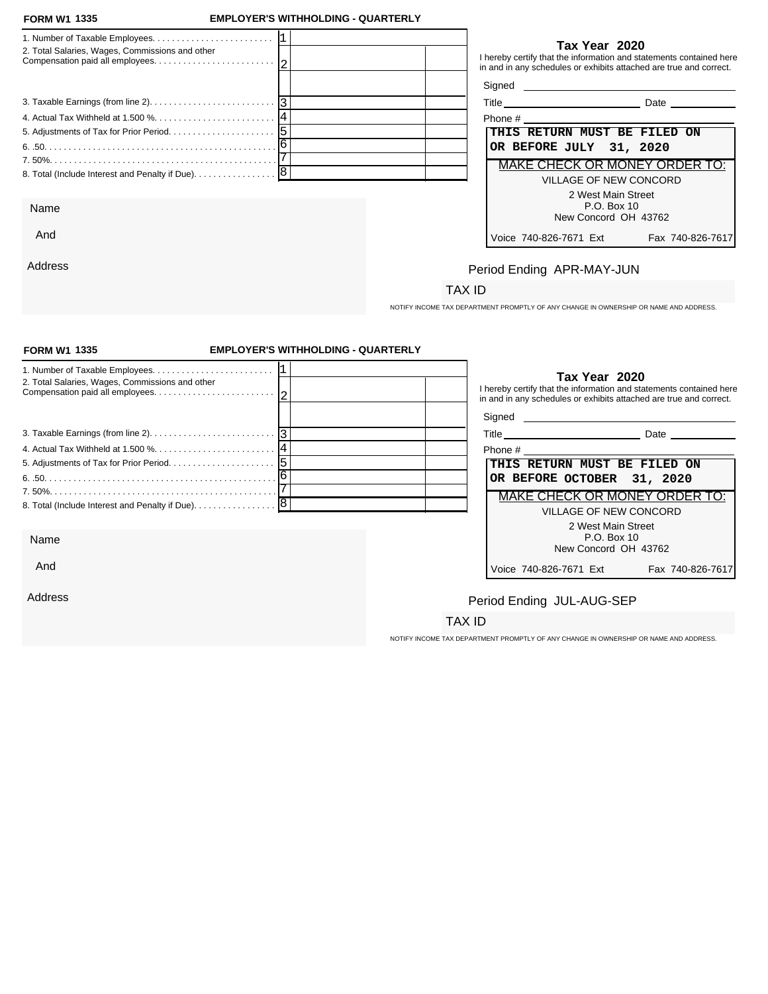#### **FORM W1 1335**

And

Address

### **FORM W1 EMPLOYER'S WITHHOLDING - QUARTERLY**

| 2. Total Salaries, Wages, Commissions and other | Tax Year 2020<br>I hereby certify that the information and statements contained here<br>in and in any schedules or exhibits attached are true and correct. |
|-------------------------------------------------|------------------------------------------------------------------------------------------------------------------------------------------------------------|
|                                                 | Signed                                                                                                                                                     |
|                                                 | Title<br>Date                                                                                                                                              |
|                                                 | Phone $#$                                                                                                                                                  |
|                                                 | THIS RETURN MUST BE FILED ON                                                                                                                               |
|                                                 | OR BEFORE JULY 31, 2020                                                                                                                                    |
|                                                 | MAKE CHECK OR MONEY ORDER TO:                                                                                                                              |
|                                                 | <b>VILLAGE OF NEW CONCORD</b>                                                                                                                              |
|                                                 | 2 West Main Street                                                                                                                                         |
| Name                                            | P.O. Box 10                                                                                                                                                |

### **Tax Year 2020**

| Phone #                 |                               |
|-------------------------|-------------------------------|
|                         | THIS RETURN MUST BE FILED ON  |
| OR BEFORE JULY 31, 2020 |                               |
|                         | MAKE CHECK OR MONEY ORDER TO: |
|                         | VILLAGE OF NEW CONCORD        |
|                         | 2 West Main Street            |
|                         | P.O. Box 10                   |
|                         | New Concord OH 43762          |
| Voice 740-826-7671 Ext  | Fax 740-826-7617              |

# Period Ending APR-MAY-JUN

## TAX ID

NOTIFY INCOME TAX DEPARTMENT PROMPTLY OF ANY CHANGE IN OWNERSHIP OR NAME AND ADDRESS.

| <b>FORM W1 1335</b>                             | <b>EMPLOYER'S WITHHOLDING - QUARTERLY</b> |                                                                                                                                                            |
|-------------------------------------------------|-------------------------------------------|------------------------------------------------------------------------------------------------------------------------------------------------------------|
| 2. Total Salaries, Wages, Commissions and other |                                           | Tax Year 2020<br>I hereby certify that the information and statements contained here<br>in and in any schedules or exhibits attached are true and correct. |
|                                                 |                                           | Signed <b>Signed</b>                                                                                                                                       |
|                                                 |                                           |                                                                                                                                                            |
|                                                 |                                           | THIS RETURN MUST BE FILED ON                                                                                                                               |
|                                                 |                                           | OR BEFORE OCTOBER 31, 2020                                                                                                                                 |
|                                                 |                                           | <b>MAKE CHECK OR MONEY ORDER TO:</b>                                                                                                                       |
| 8. Total (Include Interest and Penalty if Due). | 8                                         | <b>VILLAGE OF NEW CONCORD</b>                                                                                                                              |
| Name                                            |                                           | 2 West Main Street<br>P.O. Box 10<br>New Concord OH 43762                                                                                                  |
| And                                             |                                           | Fax 740-826-7617<br>Voice 740-826-7671 Ext                                                                                                                 |
| Address                                         |                                           | Period Ending JUL-AUG-SEP                                                                                                                                  |
|                                                 |                                           | TAX ID                                                                                                                                                     |
|                                                 |                                           | NOTIFY INCOME TAX DEPARTMENT PROMPTLY OF ANY CHANGE IN OWNERSHIP OR NAME AND ADDRESS.                                                                      |